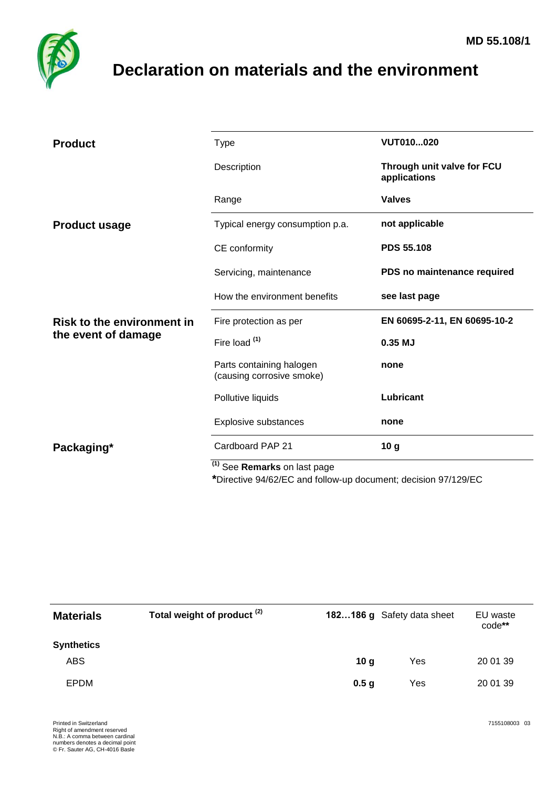

## <span id="page-0-0"></span>**Declaration on materials and the environment**

| <b>Product</b>                                           | <b>Type</b>                                                                                                       | VUT010020                                  |
|----------------------------------------------------------|-------------------------------------------------------------------------------------------------------------------|--------------------------------------------|
|                                                          | Description                                                                                                       | Through unit valve for FCU<br>applications |
|                                                          | Range                                                                                                             | <b>Valves</b>                              |
| <b>Product usage</b>                                     | Typical energy consumption p.a.                                                                                   | not applicable                             |
|                                                          | CE conformity                                                                                                     | <b>PDS 55.108</b>                          |
|                                                          | Servicing, maintenance                                                                                            | PDS no maintenance required                |
|                                                          | How the environment benefits                                                                                      | see last page                              |
| <b>Risk to the environment in</b><br>the event of damage | Fire protection as per                                                                                            | EN 60695-2-11, EN 60695-10-2               |
|                                                          | Fire load <sup>(1)</sup>                                                                                          | 0.35 MJ                                    |
|                                                          | Parts containing halogen<br>(causing corrosive smoke)                                                             | none                                       |
|                                                          | Pollutive liquids                                                                                                 | Lubricant                                  |
|                                                          | Explosive substances                                                                                              | none                                       |
| Packaging*                                               | Cardboard PAP 21                                                                                                  | 10 <sub>g</sub>                            |
|                                                          | <sup>(1)</sup> See <b>Remarks</b> on last page<br>$\mathbf{a}$ $\mathbf{b}$<br>$\sim$ $\sim$ $\sim$ $\sim$ $\sim$ |                                            |

**\***Directive 94/62/EC and follow-up document; decision 97/129/EC

| <b>Materials</b>  | Total weight of product <sup>(2)</sup> | 182186 g Safety data sheet |     | EU waste<br>code** |
|-------------------|----------------------------------------|----------------------------|-----|--------------------|
| <b>Synthetics</b> |                                        |                            |     |                    |
| <b>ABS</b>        |                                        | 10 <sub>g</sub>            | Yes | 20 01 39           |
| EPDM              |                                        | 0.5 <sub>g</sub>           | Yes | 20 01 39           |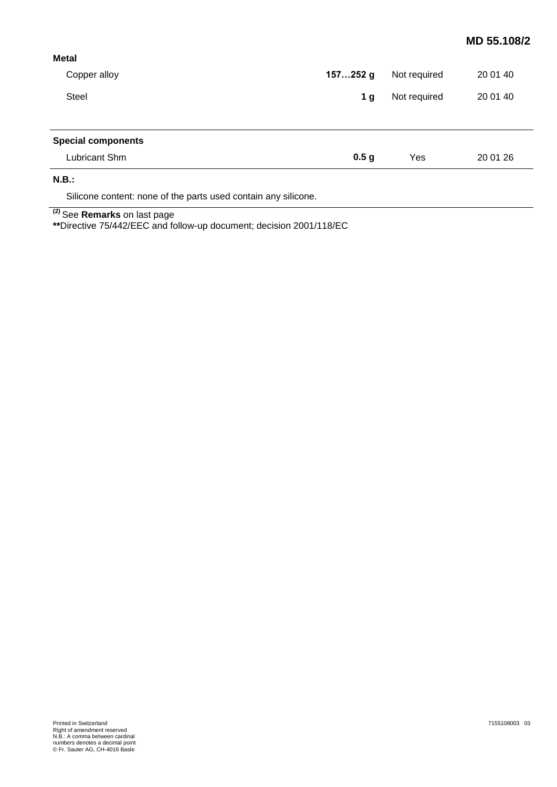## **MD [55.108/](#page-0-0)2**

| <b>Metal</b>              |                  |              |          |
|---------------------------|------------------|--------------|----------|
| Copper alloy              | 157252 g         | Not required | 20 01 40 |
| Steel                     | 1 <sub>g</sub>   |              | 20 01 40 |
|                           |                  |              |          |
| <b>Special components</b> |                  |              |          |
| Lubricant Shm             | 0.5 <sub>g</sub> | Yes          | 20 01 26 |
| N.B.:                     |                  |              |          |
|                           |                  |              |          |

Silicone content: none of the parts used contain any silicone.

**(2)** See **Remarks** on last page

**\*\***Directive 75/442/EEC and follow-up document; decision 2001/118/EC